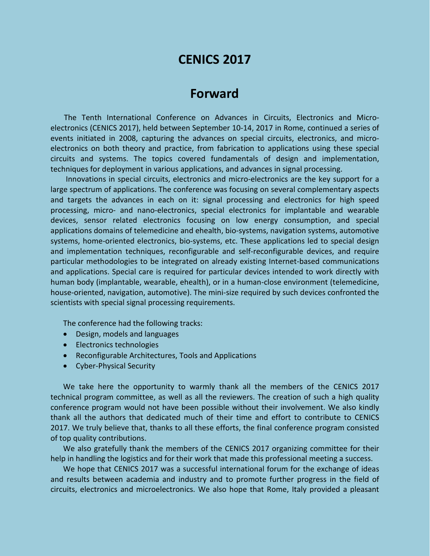# **CENICS 2017**

## **Forward**

The Tenth International Conference on Advances in Circuits, Electronics and Microelectronics (CENICS 2017), held between September 10-14, 2017 in Rome, continued a series of events initiated in 2008, capturing the advances on special circuits, electronics, and microelectronics on both theory and practice, from fabrication to applications using these special circuits and systems. The topics covered fundamentals of design and implementation, techniques for deployment in various applications, and advances in signal processing.

Innovations in special circuits, electronics and micro-electronics are the key support for a large spectrum of applications. The conference was focusing on several complementary aspects and targets the advances in each on it: signal processing and electronics for high speed processing, micro- and nano-electronics, special electronics for implantable and wearable devices, sensor related electronics focusing on low energy consumption, and special applications domains of telemedicine and ehealth, bio-systems, navigation systems, automotive systems, home-oriented electronics, bio-systems, etc. These applications led to special design and implementation techniques, reconfigurable and self-reconfigurable devices, and require particular methodologies to be integrated on already existing Internet-based communications and applications. Special care is required for particular devices intended to work directly with human body (implantable, wearable, ehealth), or in a human-close environment (telemedicine, house-oriented, navigation, automotive). The mini-size required by such devices confronted the scientists with special signal processing requirements.

The conference had the following tracks:

- Design, models and languages
- Electronics technologies
- Reconfigurable Architectures, Tools and Applications
- Cyber-Physical Security

We take here the opportunity to warmly thank all the members of the CENICS 2017 technical program committee, as well as all the reviewers. The creation of such a high quality conference program would not have been possible without their involvement. We also kindly thank all the authors that dedicated much of their time and effort to contribute to CENICS 2017. We truly believe that, thanks to all these efforts, the final conference program consisted of top quality contributions.

We also gratefully thank the members of the CENICS 2017 organizing committee for their help in handling the logistics and for their work that made this professional meeting a success.

We hope that CENICS 2017 was a successful international forum for the exchange of ideas and results between academia and industry and to promote further progress in the field of circuits, electronics and microelectronics. We also hope that Rome, Italy provided a pleasant